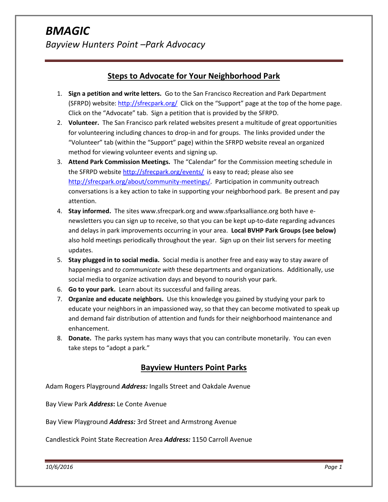# **Steps to Advocate for Your Neighborhood Park**

- 1. **Sign a petition and write letters.** Go to the San Francisco Recreation and Park Department (SFRPD) website:<http://sfrecpark.org/>Click on the "Support" page at the top of the home page. Click on the "Advocate" tab. Sign a petition that is provided by the SFRPD.
- 2. **Volunteer.** The San Francisco park related websites present a multitude of great opportunities for volunteering including chances to drop-in and for groups. The links provided under the "Volunteer" tab (within the "Support" page) within the SFRPD website reveal an organized method for viewing volunteer events and signing up.
- 3. **Attend Park Commission Meetings.** The "Calendar" for the Commission meeting schedule in the SFRPD website <http://sfrecpark.org/events/>is easy to read; please also see [http://sfrecpark.org/about/community-meetings/.](http://sfrecpark.org/about/community-meetings/) Participation in community outreach conversations is a key action to take in supporting your neighborhood park. Be present and pay attention.
- 4. **Stay informed.** The sites www.sfrecpark.org and www.sfparksalliance.org both have enewsletters you can sign up to receive, so that you can be kept up-to-date regarding advances and delays in park improvements occurring in your area. **Local BVHP Park Groups (see below)** also hold meetings periodically throughout the year. Sign up on their list servers for meeting updates.
- 5. **Stay plugged in to social media.** Social media is another free and easy way to stay aware of happenings and *to communicate with* these departments and organizations. Additionally, use social media to organize activation days and beyond to nourish your park.
- 6. **Go to your park.** Learn about its successful and failing areas.
- 7. **Organize and educate neighbors.** Use this knowledge you gained by studying your park to educate your neighbors in an impassioned way, so that they can become motivated to speak up and demand fair distribution of attention and funds for their neighborhood maintenance and enhancement.
- 8. **Donate.** The parks system has many ways that you can contribute monetarily. You can even take steps to "adopt a park."

# **Bayview Hunters Point Parks**

Adam Rogers Playground *Address:* Ingalls Street and Oakdale Avenue

Bay View Park *Address***:** Le Conte Avenue

Bay View Playground *Address:* 3rd Street and Armstrong Avenue

Candlestick Point State Recreation Area *Address:* 1150 Carroll Avenue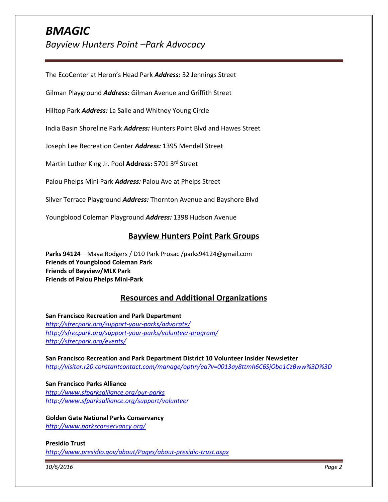# *BMAGIC Bayview Hunters Point –Park Advocacy*

The EcoCenter at Heron's Head Park *Address:* 32 Jennings Street

Gilman Playground *Address:* Gilman Avenue and Griffith Street

Hilltop Park *Address:* La Salle and Whitney Young Circle

India Basin Shoreline Park *Address:* Hunters Point Blvd and Hawes Street

Joseph Lee Recreation Center *Address:* 1395 Mendell Street

Martin Luther King Jr. Pool **Address:** 5701 3rd Street

Palou Phelps Mini Park *Address:* Palou Ave at Phelps Street

Silver Terrace Playground *Address:* Thornton Avenue and Bayshore Blvd

Youngblood Coleman Playground *Address:* 1398 Hudson Avenue

#### **Bayview Hunters Point Park Groups**

**Parks 94124** – Maya Rodgers / D10 Park Prosac /parks94124@gmail.com **Friends of Youngblood Coleman Park Friends of Bayview/MLK Park Friends of Palou Phelps Mini-Park** 

### **Resources and Additional Organizations**

**San Francisco Recreation and Park Department**  *<http://sfrecpark.org/support-your-parks/advocate/> <http://sfrecpark.org/support-your-parks/volunteer-program/> <http://sfrecpark.org/events/>*

**San Francisco Recreation and Park Department District 10 Volunteer Insider Newsletter** *<http://visitor.r20.constantcontact.com/manage/optin/ea?v=0013ay8ttmh6C6SjObo1CzBww%3D%3D>*

**San Francisco Parks Alliance**  *<http://www.sfparksalliance.org/our-parks> <http://www.sfparksalliance.org/support/volunteer>*

**Golden Gate National Parks Conservancy**

*<http://www.parksconservancy.org/>*

#### **Presidio Trust**

*<http://www.presidio.gov/about/Pages/about-presidio-trust.aspx>*

*10/6/2016 Page 2*